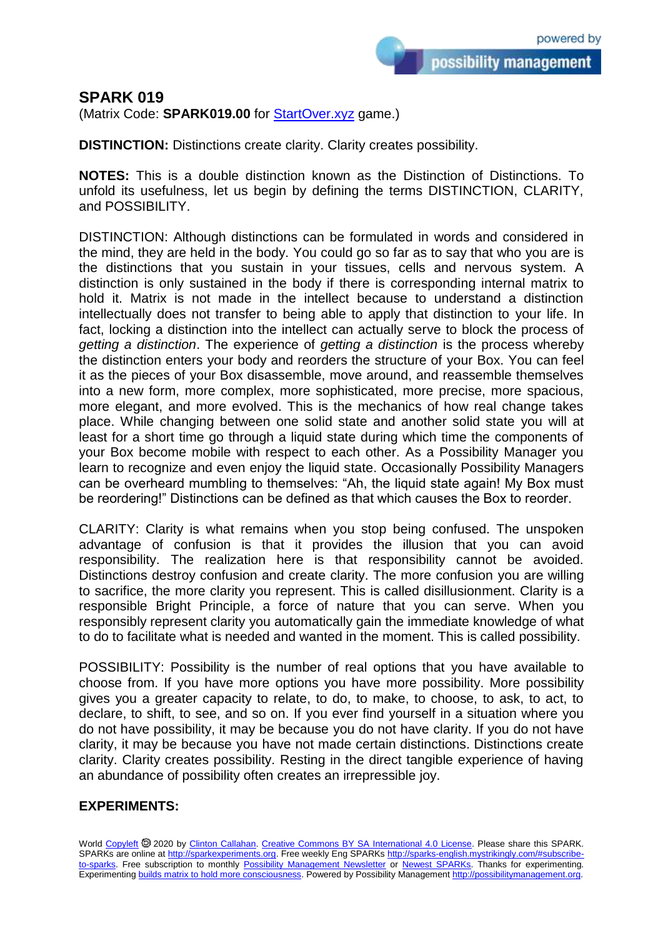## **SPARK 019**

(Matrix Code: **SPARK019.00** for **StartOver.xyz** game.)

**DISTINCTION:** Distinctions create clarity. Clarity creates possibility.

**NOTES:** This is a double distinction known as the Distinction of Distinctions. To unfold its usefulness, let us begin by defining the terms DISTINCTION, CLARITY, and POSSIBILITY.

DISTINCTION: Although distinctions can be formulated in words and considered in the mind, they are held in the body. You could go so far as to say that who you are is the distinctions that you sustain in your tissues, cells and nervous system. A distinction is only sustained in the body if there is corresponding internal matrix to hold it. Matrix is not made in the intellect because to understand a distinction intellectually does not transfer to being able to apply that distinction to your life. In fact, locking a distinction into the intellect can actually serve to block the process of *getting a distinction*. The experience of *getting a distinction* is the process whereby the distinction enters your body and reorders the structure of your Box. You can feel it as the pieces of your Box disassemble, move around, and reassemble themselves into a new form, more complex, more sophisticated, more precise, more spacious, more elegant, and more evolved. This is the mechanics of how real change takes place. While changing between one solid state and another solid state you will at least for a short time go through a liquid state during which time the components of your Box become mobile with respect to each other. As a Possibility Manager you learn to recognize and even enjoy the liquid state. Occasionally Possibility Managers can be overheard mumbling to themselves: "Ah, the liquid state again! My Box must be reordering!" Distinctions can be defined as that which causes the Box to reorder.

CLARITY: Clarity is what remains when you stop being confused. The unspoken advantage of confusion is that it provides the illusion that you can avoid responsibility. The realization here is that responsibility cannot be avoided. Distinctions destroy confusion and create clarity. The more confusion you are willing to sacrifice, the more clarity you represent. This is called disillusionment. Clarity is a responsible Bright Principle, a force of nature that you can serve. When you responsibly represent clarity you automatically gain the immediate knowledge of what to do to facilitate what is needed and wanted in the moment. This is called possibility.

POSSIBILITY: Possibility is the number of real options that you have available to choose from. If you have more options you have more possibility. More possibility gives you a greater capacity to relate, to do, to make, to choose, to ask, to act, to declare, to shift, to see, and so on. If you ever find yourself in a situation where you do not have possibility, it may be because you do not have clarity. If you do not have clarity, it may be because you have not made certain distinctions. Distinctions create clarity. Clarity creates possibility. Resting in the direct tangible experience of having an abundance of possibility often creates an irrepressible joy.

## **EXPERIMENTS:**

World [Copyleft](https://en.wikipedia.org/wiki/Copyleft) @ 2020 by [Clinton Callahan.](http://clintoncallahan.mystrikingly.com/) [Creative Commons BY SA International 4.0 License.](https://creativecommons.org/licenses/by-sa/4.0/) Please share this SPARK. SPARKs are online at [http://sparkexperiments.org.](http://sparks-english.mystrikingly.com/) Free weekly Eng SPARKs [http://sparks-english.mystrikingly.com/#subscribe](http://sparks-english.mystrikingly.com/#subscribe-to-sparks)[to-sparks.](http://sparks-english.mystrikingly.com/#subscribe-to-sparks) Free subscription to monthly [Possibility Management Newsletter](https://possibilitymanagement.org/news/) or [Newest SPARKs.](https://www.clintoncallahan.org/newsletter-1) Thanks for experimenting. Experimentin[g builds matrix to hold more consciousness.](http://spaceport.mystrikingly.com/) Powered by Possibility Managemen[t http://possibilitymanagement.org.](http://possibilitymanagement.org/)